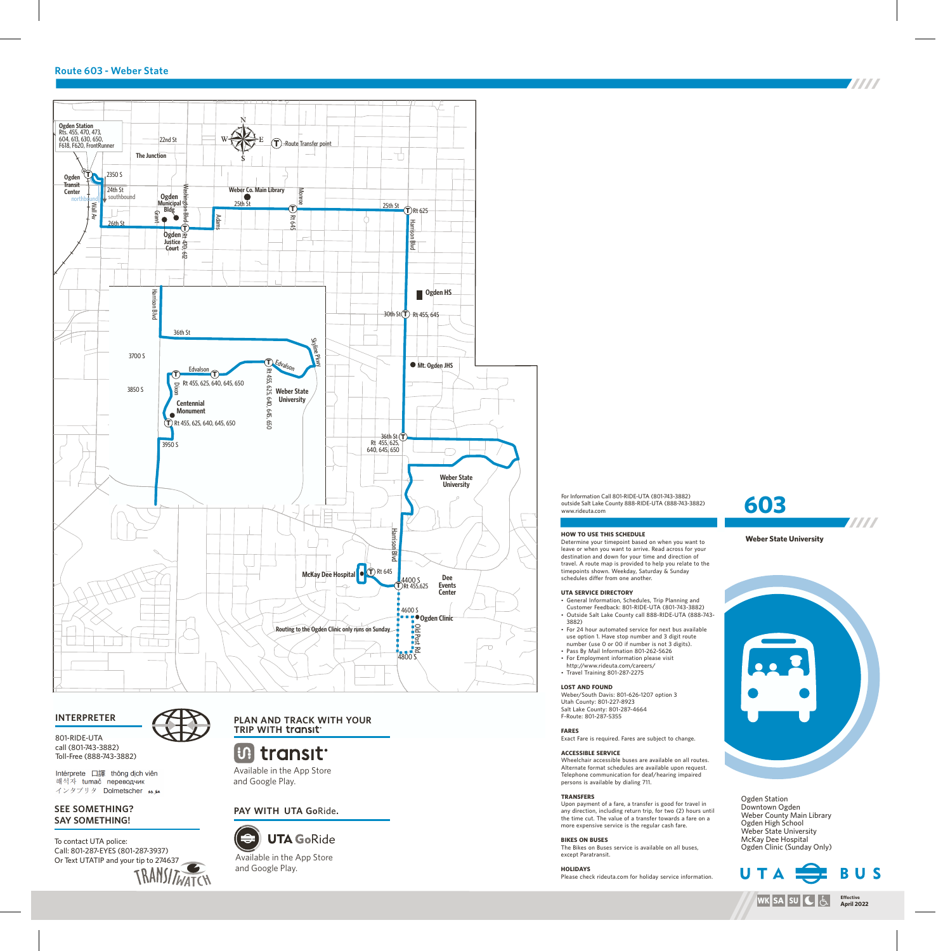## **Route 603 - Weber State**



## **INTERPRETER**

801-RIDE-UTA call (801-743-3882) Toll-Free (888-743-3882)

Intérprete 口譯 thông dịch viên 해석자 tumač переводчик インタプリタ Dolmetscher メメ

## **SEE SOMETHING? SAY SOMETHING!**

To contact UTA police: Call: 801-287-EYES (801-287-3937) Or Text UTATIP and your tip to 274637



**B** transit

Available in the App Store and Google Play.

**PAY WITH UTA Go**Ride**.**



and Google Play.

For Information Call 801-RIDE-UTA (801-743-3882) outside Salt Lake County 888-RIDE-UTA (888-743-3882) www.rideuta.com

#### **HOW TO USE THIS SCHEDULE**

Determine your timepoint based on when you want to leave or when you want to arrive. Read across for your destination and down for your time and direction of travel. A route map is provided to help you relate to the timepoints shown. Weekday, Saturday & Sunday schedules differ from one another.

#### **UTA SERVICE DIRECTORY**

• General Information, Schedules, Trip Planning and Customer Feedback: 801-RIDE-UTA (801-743-3882) • Outside Salt Lake County call 888-RIDE-UTA (888-743-3882)

- For 24 hour automated service for next bus available use option 1. Have stop number and 3 digit route number (use 0 or 00 if number is not 3 digits).
- Pass By Mail Information 801-262-5626 • For Employment information please visit
- http://www.rideuta.com/careers/  $\cdot$  Travel Training 801-287-2275

## **LOST AND FOUND**

Weber/South Davis: 801-626-1207 option 3 Utah County: 801-227-8923 Salt Lake County: 801-287-4664 F-Route: 801-287-5355

## **FARES**

Exact Fare is required. Fares are subject to change.

# **ACCESSIBLE SERVICE**

Wheelchair accessible buses are available on all routes. Alternate format schedules are available upon request. Telephone communication for deaf/hearing impaired persons is available by dialing 711.

## **TRANSFERS**

Upon payment of a fare, a transfer is good for travel in any direction, including return trip, for two (2) hours until the time cut. The value of a transfer towards a fare on a more expensive service is the regular cash fare.

#### **BIKES ON BUSES** The Bikes on Buses service is available on all buses, except Paratransit.

**HOLIDAYS** Please check rideuta.com for holiday service information.



#### **Weber State University**



Ogden Station Downtown Ogden Weber County Main Library Ogden High School Weber State University McKay Dee Hospital Ogden Clinic (Sunday Only)



**TITTI**